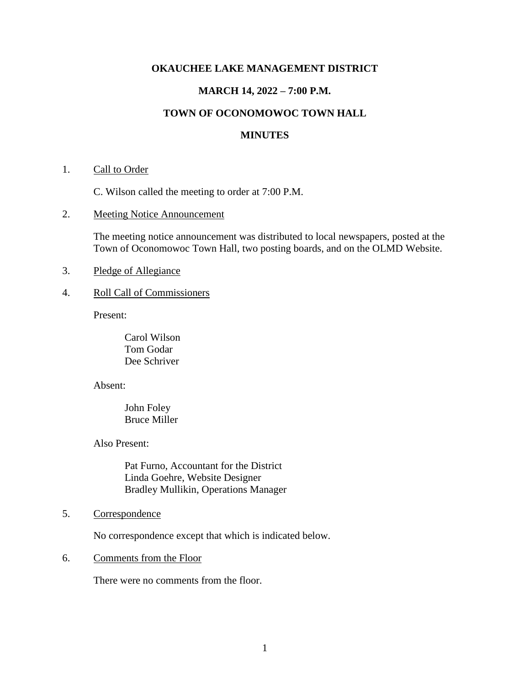#### **OKAUCHEE LAKE MANAGEMENT DISTRICT**

### **MARCH 14, 2022 – 7:00 P.M.**

# **TOWN OF OCONOMOWOC TOWN HALL**

#### **MINUTES**

1. Call to Order

C. Wilson called the meeting to order at 7:00 P.M.

2. Meeting Notice Announcement

The meeting notice announcement was distributed to local newspapers, posted at the Town of Oconomowoc Town Hall, two posting boards, and on the OLMD Website.

- 3. Pledge of Allegiance
- 4. Roll Call of Commissioners

Present:

Carol Wilson Tom Godar Dee Schriver

Absent:

John Foley Bruce Miller

Also Present:

Pat Furno, Accountant for the District Linda Goehre, Website Designer Bradley Mullikin, Operations Manager

5. Correspondence

No correspondence except that which is indicated below.

6. Comments from the Floor

There were no comments from the floor.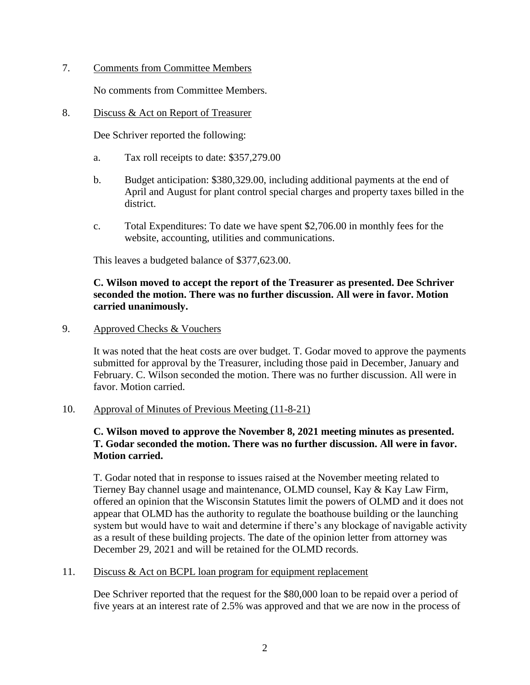7. Comments from Committee Members

No comments from Committee Members.

8. Discuss & Act on Report of Treasurer

Dee Schriver reported the following:

- a. Tax roll receipts to date: \$357,279.00
- b. Budget anticipation: \$380,329.00, including additional payments at the end of April and August for plant control special charges and property taxes billed in the district.
- c. Total Expenditures: To date we have spent \$2,706.00 in monthly fees for the website, accounting, utilities and communications.

This leaves a budgeted balance of \$377,623.00.

# **C. Wilson moved to accept the report of the Treasurer as presented. Dee Schriver seconded the motion. There was no further discussion. All were in favor. Motion carried unanimously.**

### 9. Approved Checks & Vouchers

It was noted that the heat costs are over budget. T. Godar moved to approve the payments submitted for approval by the Treasurer, including those paid in December, January and February. C. Wilson seconded the motion. There was no further discussion. All were in favor. Motion carried.

### 10. Approval of Minutes of Previous Meeting (11-8-21)

# **C. Wilson moved to approve the November 8, 2021 meeting minutes as presented. T. Godar seconded the motion. There was no further discussion. All were in favor. Motion carried.**

T. Godar noted that in response to issues raised at the November meeting related to Tierney Bay channel usage and maintenance, OLMD counsel, Kay & Kay Law Firm, offered an opinion that the Wisconsin Statutes limit the powers of OLMD and it does not appear that OLMD has the authority to regulate the boathouse building or the launching system but would have to wait and determine if there's any blockage of navigable activity as a result of these building projects. The date of the opinion letter from attorney was December 29, 2021 and will be retained for the OLMD records.

### 11. Discuss & Act on BCPL loan program for equipment replacement

Dee Schriver reported that the request for the \$80,000 loan to be repaid over a period of five years at an interest rate of 2.5% was approved and that we are now in the process of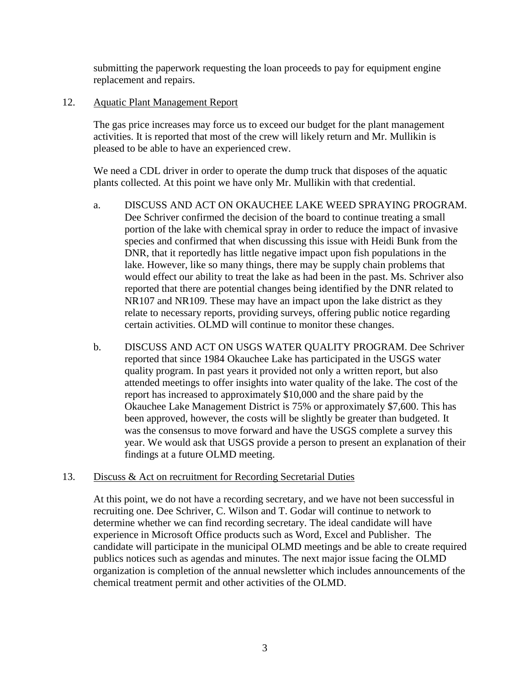submitting the paperwork requesting the loan proceeds to pay for equipment engine replacement and repairs.

# 12. Aquatic Plant Management Report

The gas price increases may force us to exceed our budget for the plant management activities. It is reported that most of the crew will likely return and Mr. Mullikin is pleased to be able to have an experienced crew.

We need a CDL driver in order to operate the dump truck that disposes of the aquatic plants collected. At this point we have only Mr. Mullikin with that credential.

- a. DISCUSS AND ACT ON OKAUCHEE LAKE WEED SPRAYING PROGRAM. Dee Schriver confirmed the decision of the board to continue treating a small portion of the lake with chemical spray in order to reduce the impact of invasive species and confirmed that when discussing this issue with Heidi Bunk from the DNR, that it reportedly has little negative impact upon fish populations in the lake. However, like so many things, there may be supply chain problems that would effect our ability to treat the lake as had been in the past. Ms. Schriver also reported that there are potential changes being identified by the DNR related to NR107 and NR109. These may have an impact upon the lake district as they relate to necessary reports, providing surveys, offering public notice regarding certain activities. OLMD will continue to monitor these changes.
- b. DISCUSS AND ACT ON USGS WATER QUALITY PROGRAM. Dee Schriver reported that since 1984 Okauchee Lake has participated in the USGS water quality program. In past years it provided not only a written report, but also attended meetings to offer insights into water quality of the lake. The cost of the report has increased to approximately \$10,000 and the share paid by the Okauchee Lake Management District is 75% or approximately \$7,600. This has been approved, however, the costs will be slightly be greater than budgeted. It was the consensus to move forward and have the USGS complete a survey this year. We would ask that USGS provide a person to present an explanation of their findings at a future OLMD meeting.

### 13. Discuss & Act on recruitment for Recording Secretarial Duties

At this point, we do not have a recording secretary, and we have not been successful in recruiting one. Dee Schriver, C. Wilson and T. Godar will continue to network to determine whether we can find recording secretary. The ideal candidate will have experience in Microsoft Office products such as Word, Excel and Publisher. The candidate will participate in the municipal OLMD meetings and be able to create required publics notices such as agendas and minutes. The next major issue facing the OLMD organization is completion of the annual newsletter which includes announcements of the chemical treatment permit and other activities of the OLMD.